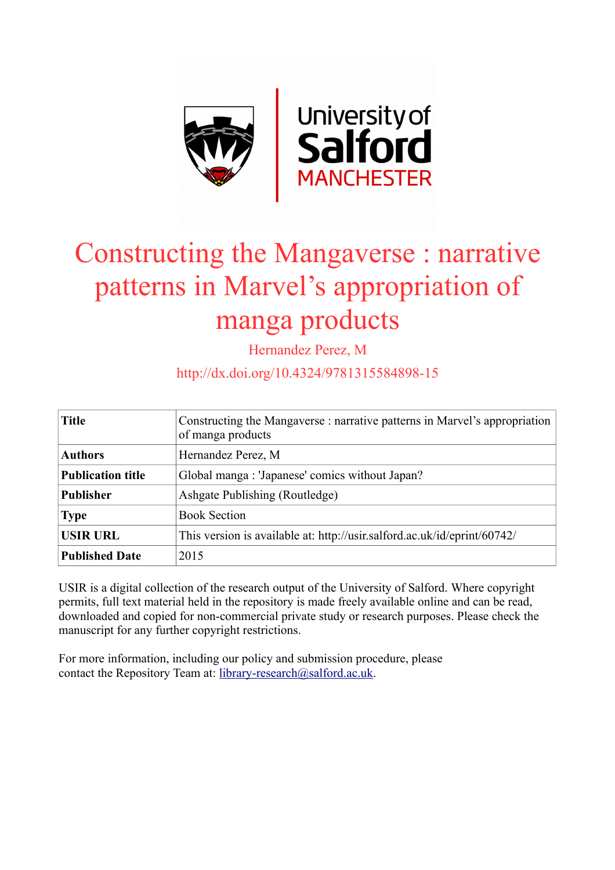

# Constructing the Mangaverse : narrative patterns in Marvel's appropriation of manga products

Hernandez Perez, M

http://dx.doi.org/10.4324/9781315584898-15

| <b>Title</b>             | Constructing the Mangaverse : narrative patterns in Marvel's appropriation<br>of manga products |
|--------------------------|-------------------------------------------------------------------------------------------------|
| <b>Authors</b>           | Hernandez Perez, M                                                                              |
| <b>Publication title</b> | Global manga : 'Japanese' comics without Japan?                                                 |
| <b>Publisher</b>         | Ashgate Publishing (Routledge)                                                                  |
| <b>Type</b>              | <b>Book Section</b>                                                                             |
| <b>USIR URL</b>          | This version is available at: http://usir.salford.ac.uk/id/eprint/60742/                        |
| <b>Published Date</b>    | 2015                                                                                            |

USIR is a digital collection of the research output of the University of Salford. Where copyright permits, full text material held in the repository is made freely available online and can be read, downloaded and copied for non-commercial private study or research purposes. Please check the manuscript for any further copyright restrictions.

For more information, including our policy and submission procedure, please contact the Repository Team at: [library-research@salford.ac.uk.](mailto:library-research@salford.ac.uk)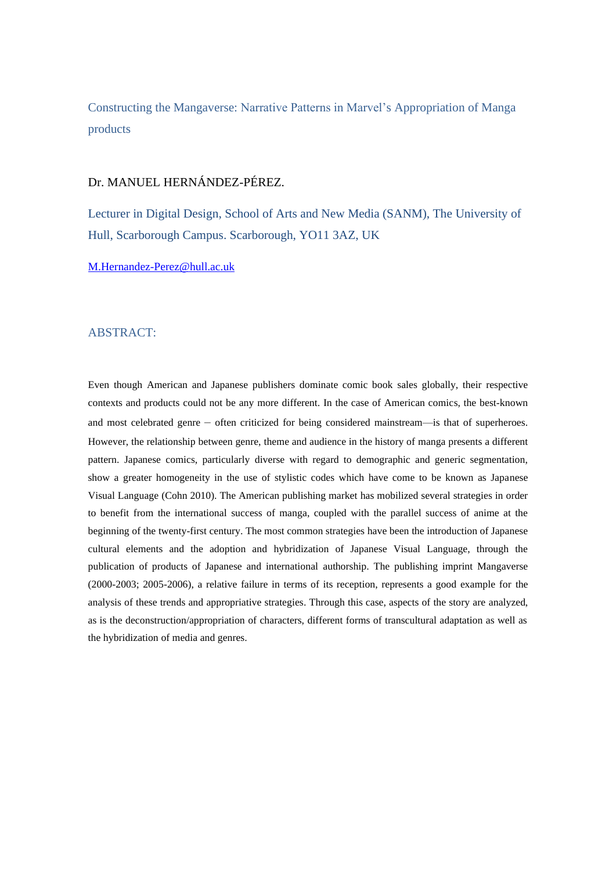Constructing the Mangaverse: Narrative Patterns in Marvel's Appropriation of Manga products

# Dr. MANUEL HERNÁNDEZ-PÉREZ.

Lecturer in Digital Design, School of Arts and New Media (SANM), The University of Hull, Scarborough Campus. Scarborough, YO11 3AZ, UK

[M.Hernandez-Perez@hull.ac.uk](mailto:M.Hernandez-Perez@hull.ac.uk)

#### ABSTRACT:

Even though American and Japanese publishers dominate comic book sales globally, their respective contexts and products could not be any more different. In the case of American comics, the best-known and most celebrated genre – often criticized for being considered mainstream—is that of superheroes. However, the relationship between genre, theme and audience in the history of manga presents a different pattern. Japanese comics, particularly diverse with regard to demographic and generic segmentation, show a greater homogeneity in the use of stylistic codes which have come to be known as Japanese Visual Language [\(Cohn 2010\)](#page-20-0). The American publishing market has mobilized several strategies in order to benefit from the international success of manga, coupled with the parallel success of anime at the beginning of the twenty-first century. The most common strategies have been the introduction of Japanese cultural elements and the adoption and hybridization of Japanese Visual Language, through the publication of products of Japanese and international authorship. The publishing imprint Mangaverse (2000-2003; 2005-2006), a relative failure in terms of its reception, represents a good example for the analysis of these trends and appropriative strategies. Through this case, aspects of the story are analyzed, as is the deconstruction/appropriation of characters, different forms of transcultural adaptation as well as the hybridization of media and genres.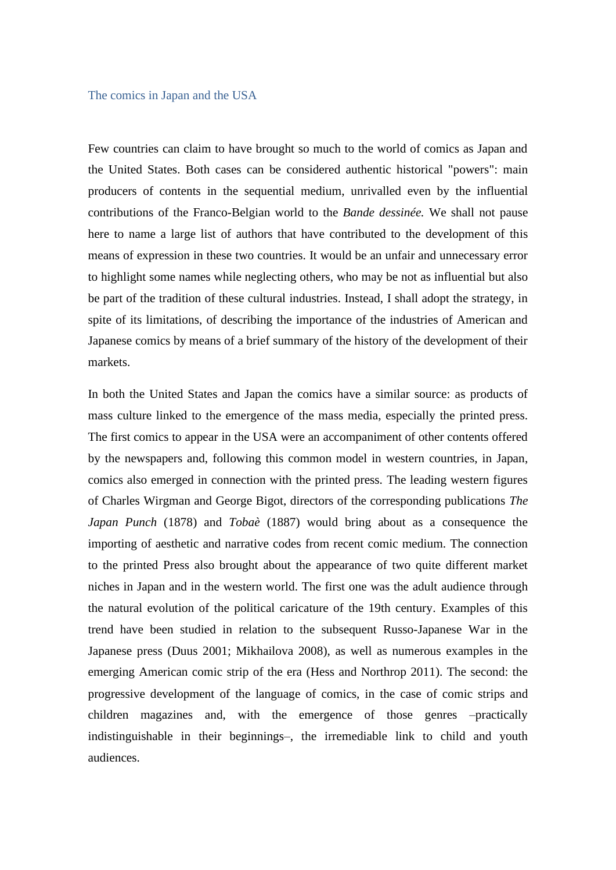Few countries can claim to have brought so much to the world of comics as Japan and the United States. Both cases can be considered authentic historical "powers": main producers of contents in the sequential medium, unrivalled even by the influential contributions of the Franco-Belgian world to the *Bande dessinée.* We shall not pause here to name a large list of authors that have contributed to the development of this means of expression in these two countries. It would be an unfair and unnecessary error to highlight some names while neglecting others, who may be not as influential but also be part of the tradition of these cultural industries. Instead, I shall adopt the strategy, in spite of its limitations, of describing the importance of the industries of American and Japanese comics by means of a brief summary of the history of the development of their markets.

In both the United States and Japan the comics have a similar source: as products of mass culture linked to the emergence of the mass media, especially the printed press. The first comics to appear in the USA were an accompaniment of other contents offered by the newspapers and, following this common model in western countries, in Japan, comics also emerged in connection with the printed press. The leading western figures of Charles Wirgman and George Bigot, directors of the corresponding publications *The Japan Punch* (1878) and *Tobaè* (1887) would bring about as a consequence the importing of aesthetic and narrative codes from recent comic medium. The connection to the printed Press also brought about the appearance of two quite different market niches in Japan and in the western world. The first one was the adult audience through the natural evolution of the political caricature of the 19th century. Examples of this trend have been studied in relation to the subsequent Russo-Japanese War in the Japanese press [\(Duus 2001;](#page-20-1) [Mikhailova 2008\)](#page-21-0), as well as numerous examples in the emerging American comic strip of the era [\(Hess and Northrop 2011\)](#page-20-2). The second: the progressive development of the language of comics, in the case of comic strips and children magazines and, with the emergence of those genres –practically indistinguishable in their beginnings–, the irremediable link to child and youth audiences.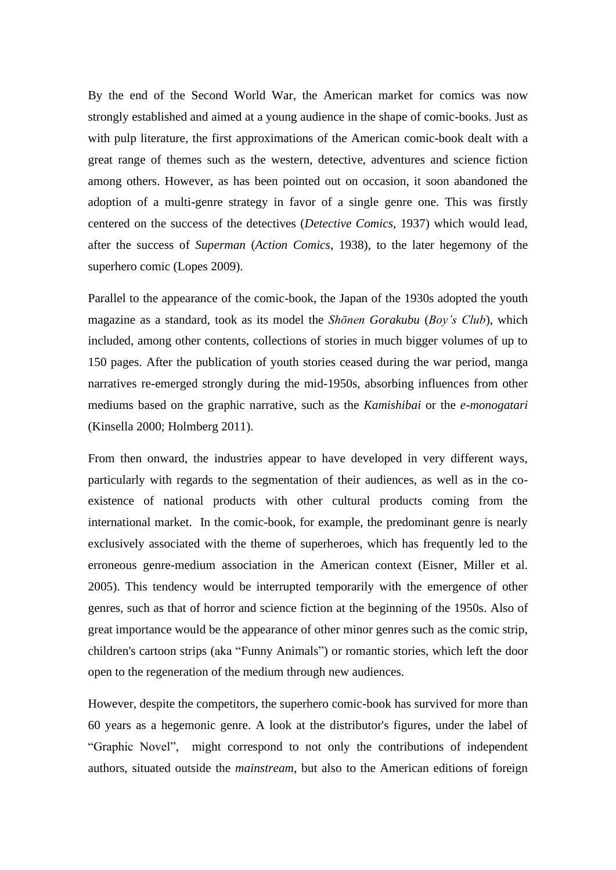By the end of the Second World War, the American market for comics was now strongly established and aimed at a young audience in the shape of comic-books. Just as with pulp literature, the first approximations of the American comic-book dealt with a great range of themes such as the western, detective, adventures and science fiction among others. However, as has been pointed out on occasion, it soon abandoned the adoption of a multi-genre strategy in favor of a single genre one. This was firstly centered on the success of the detectives (*Detective Comics*, 1937) which would lead, after the success of *Superman* (*Action Comics*, 1938), to the later hegemony of the superhero comic [\(Lopes 2009\)](#page-20-3).

Parallel to the appearance of the comic-book, the Japan of the 1930s adopted the youth magazine as a standard, took as its model the *Shōnen Gorakubu* (*Boy's Club*), which included, among other contents, collections of stories in much bigger volumes of up to 150 pages. After the publication of youth stories ceased during the war period, manga narratives re-emerged strongly during the mid-1950s, absorbing influences from other mediums based on the graphic narrative, such as the *Kamishibai* or the *e-monogatari* [\(Kinsella 2000;](#page-20-4) [Holmberg 2011\)](#page-20-5).

From then onward, the industries appear to have developed in very different ways, particularly with regards to the segmentation of their audiences, as well as in the coexistence of national products with other cultural products coming from the international market. In the comic-book, for example, the predominant genre is nearly exclusively associated with the theme of superheroes, which has frequently led to the erroneous genre-medium association in the American context [\(Eisner, Miller et al.](#page-20-6)  [2005\)](#page-20-6). This tendency would be interrupted temporarily with the emergence of other genres, such as that of horror and science fiction at the beginning of the 1950s. Also of great importance would be the appearance of other minor genres such as the comic strip, children's cartoon strips (aka "Funny Animals") or romantic stories, which left the door open to the regeneration of the medium through new audiences.

However, despite the competitors, the superhero comic-book has survived for more than 60 years as a hegemonic genre. A look at the distributor's figures, under the label of "Graphic Novel", might correspond to not only the contributions of independent authors, situated outside the *mainstream*, but also to the American editions of foreign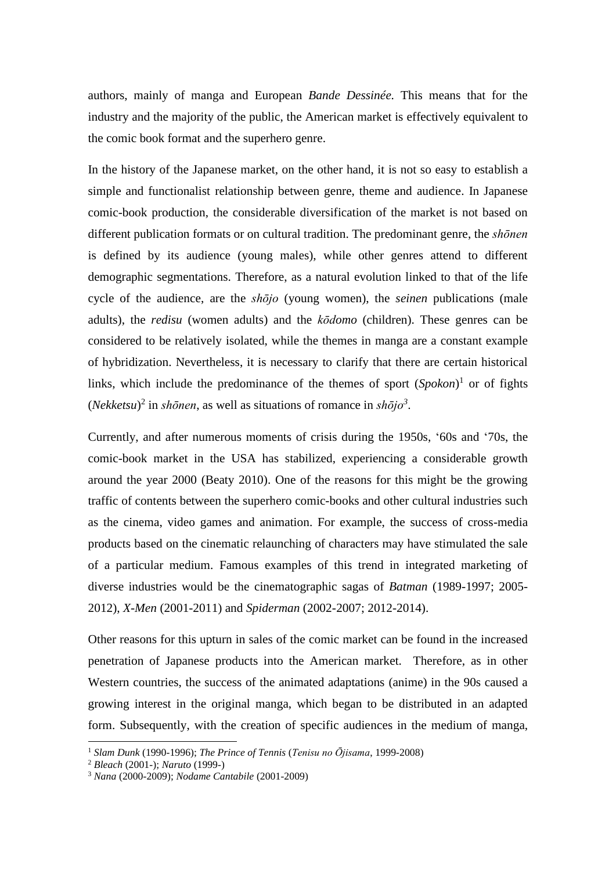authors, mainly of manga and European *Bande Dessinée.* This means that for the industry and the majority of the public, the American market is effectively equivalent to the comic book format and the superhero genre.

In the history of the Japanese market, on the other hand, it is not so easy to establish a simple and functionalist relationship between genre, theme and audience. In Japanese comic-book production, the considerable diversification of the market is not based on different publication formats or on cultural tradition. The predominant genre, the *shōnen* is defined by its audience (young males), while other genres attend to different demographic segmentations. Therefore, as a natural evolution linked to that of the life cycle of the audience, are the *shōjo* (young women), the *seinen* publications (male adults), the *redisu* (women adults) and the *kōdomo* (children). These genres can be considered to be relatively isolated, while the themes in manga are a constant example of hybridization. Nevertheless, it is necessary to clarify that there are certain historical links, which include the predominance of the themes of sport (*Spokon*) 1 or of fights (*Nekketsu*)<sup>2</sup> in *shōnen*, as well as situations of romance in *shōjo*<sup>3</sup>.

Currently, and after numerous moments of crisis during the 1950s, '60s and '70s, the comic-book market in the USA has stabilized, experiencing a considerable growth around the year 2000 [\(Beaty 2010\)](#page-20-7). One of the reasons for this might be the growing traffic of contents between the superhero comic-books and other cultural industries such as the cinema, video games and animation. For example, the success of cross-media products based on the cinematic relaunching of characters may have stimulated the sale of a particular medium. Famous examples of this trend in integrated marketing of diverse industries would be the cinematographic sagas of *Batman* (1989-1997; 2005- 2012), *X-Men* (2001-2011) and *Spiderman* (2002-2007; 2012-2014).

Other reasons for this upturn in sales of the comic market can be found in the increased penetration of Japanese products into the American market. Therefore, as in other Western countries, the success of the animated adaptations (anime) in the 90s caused a growing interest in the original manga, which began to be distributed in an adapted form. Subsequently, with the creation of specific audiences in the medium of manga,

<sup>1</sup> *Slam Dunk* (1990-1996); *The Prince of Tennis* (*Tenisu no Ōjisama*, 1999-2008)

<sup>2</sup> *Bleach* (2001-); *Naruto* (1999-)

<sup>3</sup> *Nana* (2000-2009); *Nodame Cantabile* (2001-2009)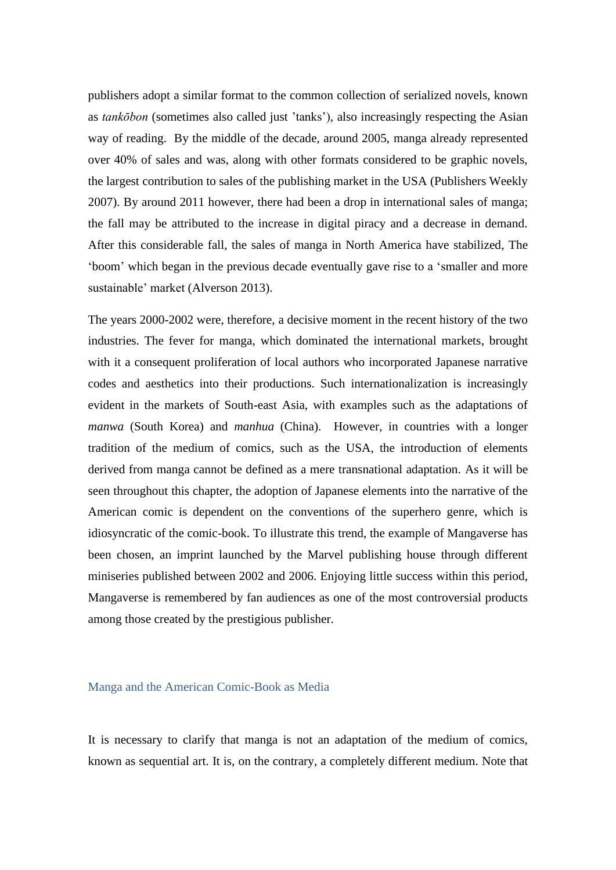publishers adopt a similar format to the common collection of serialized novels, known as *tankōbon* (sometimes also called just 'tanks')*,* also increasingly respecting the Asian way of reading. By the middle of the decade, around 2005, manga already represented over 40% of sales and was, along with other formats considered to be graphic novels, the largest contribution to sales of the publishing market in the USA [\(Publishers Weekly](#page-21-1)  [2007\)](#page-21-1). By around 2011 however, there had been a drop in international sales of manga; the fall may be attributed to the increase in digital piracy and a decrease in demand. After this considerable fall, the sales of manga in North America have stabilized, The 'boom' which began in the previous decade eventually gave rise to a 'smaller and more sustainable' market [\(Alverson 2013\)](#page-20-8).

The years 2000-2002 were, therefore, a decisive moment in the recent history of the two industries. The fever for manga*,* which dominated the international markets, brought with it a consequent proliferation of local authors who incorporated Japanese narrative codes and aesthetics into their productions. Such internationalization is increasingly evident in the markets of South-east Asia, with examples such as the adaptations of *manwa* (South Korea) and *manhua* (China). However, in countries with a longer tradition of the medium of comics, such as the USA, the introduction of elements derived from manga cannot be defined as a mere transnational adaptation. As it will be seen throughout this chapter, the adoption of Japanese elements into the narrative of the American comic is dependent on the conventions of the superhero genre, which is idiosyncratic of the comic-book. To illustrate this trend, the example of Mangaverse has been chosen, an imprint launched by the Marvel publishing house through different miniseries published between 2002 and 2006. Enjoying little success within this period, Mangaverse is remembered by fan audiences as one of the most controversial products among those created by the prestigious publisher.

#### Manga and the American Comic-Book as Media

It is necessary to clarify that manga is not an adaptation of the medium of comics, known as sequential art. It is, on the contrary, a completely different medium. Note that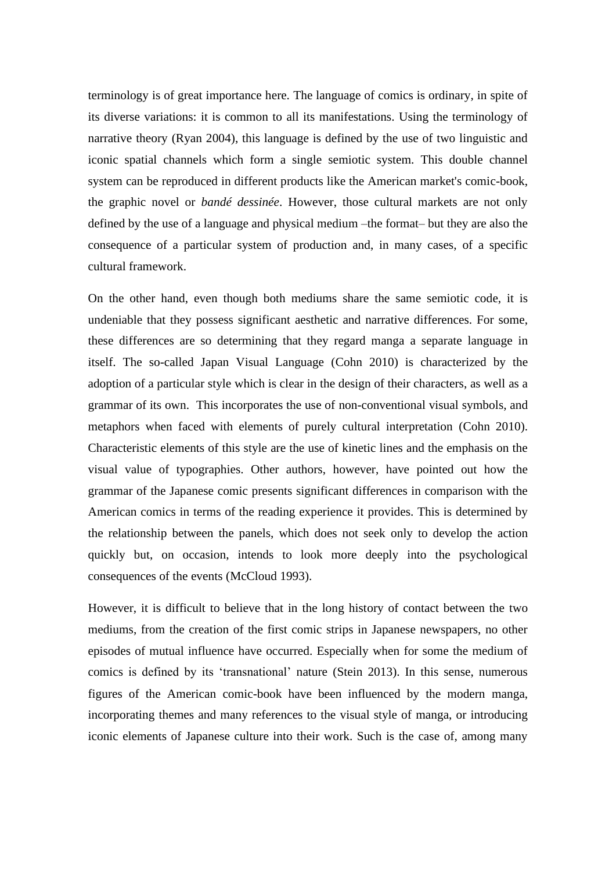terminology is of great importance here. The language of comics is ordinary, in spite of its diverse variations: it is common to all its manifestations. Using the terminology of narrative theory [\(Ryan 2004\)](#page-21-2), this language is defined by the use of two linguistic and iconic spatial channels which form a single semiotic system. This double channel system can be reproduced in different products like the American market's comic-book, the graphic novel or *bandé dessinée*. However, those cultural markets are not only defined by the use of a language and physical medium –the format– but they are also the consequence of a particular system of production and, in many cases, of a specific cultural framework.

On the other hand, even though both mediums share the same semiotic code, it is undeniable that they possess significant aesthetic and narrative differences. For some, these differences are so determining that they regard manga a separate language in itself. The so-called Japan Visual Language [\(Cohn 2010\)](#page-20-0) is characterized by the adoption of a particular style which is clear in the design of their characters, as well as a grammar of its own. This incorporates the use of non-conventional visual symbols, and metaphors when faced with elements of purely cultural interpretation [\(Cohn 2010\)](#page-20-0). Characteristic elements of this style are the use of kinetic lines and the emphasis on the visual value of typographies. Other authors, however, have pointed out how the grammar of the Japanese comic presents significant differences in comparison with the American comics in terms of the reading experience it provides. This is determined by the relationship between the panels, which does not seek only to develop the action quickly but, on occasion, intends to look more deeply into the psychological consequences of the events [\(McCloud 1993\)](#page-20-9).

However, it is difficult to believe that in the long history of contact between the two mediums, from the creation of the first comic strips in Japanese newspapers, no other episodes of mutual influence have occurred. Especially when for some the medium of comics is defined by its 'transnational' nature [\(Stein 2013\)](#page-21-3). In this sense, numerous figures of the American comic-book have been influenced by the modern manga, incorporating themes and many references to the visual style of manga, or introducing iconic elements of Japanese culture into their work. Such is the case of, among many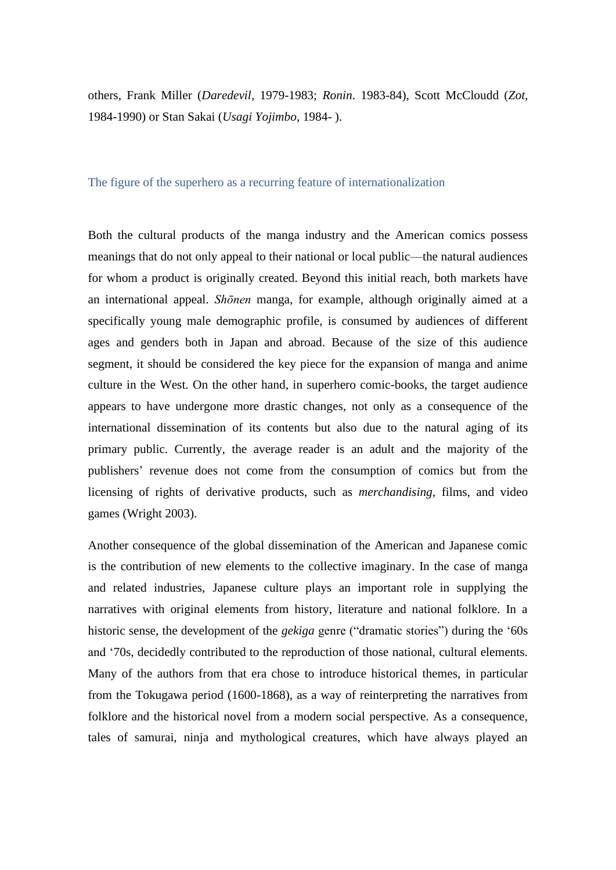others, Frank Miller (*Daredevil*, 1979-1983; *Ronin*. 1983-84), Scott McCloudd (*Zot*, 1984-1990) or Stan Sakai (*Usagi Yojimbo*, 1984- ).

#### The figure of the superhero as a recurring feature of internationalization

Both the cultural products of the manga industry and the American comics possess meanings that do not only appeal to their national or local public—the natural audiences for whom a product is originally created. Beyond this initial reach, both markets have an international appeal. *Shōnen* manga, for example, although originally aimed at a specifically young male demographic profile, is consumed by audiences of different ages and genders both in Japan and abroad. Because of the size of this audience segment, it should be considered the key piece for the expansion of manga and anime culture in the West. On the other hand, in superhero comic-books, the target audience appears to have undergone more drastic changes, not only as a consequence of the international dissemination of its contents but also due to the natural aging of its primary public. Currently, the average reader is an adult and the majority of the publishers' revenue does not come from the consumption of comics but from the licensing of rights of derivative products, such as *merchandising*, films, and video games [\(Wright 2003\)](#page-21-4).

Another consequence of the global dissemination of the American and Japanese comic is the contribution of new elements to the collective imaginary. In the case of manga and related industries, Japanese culture plays an important role in supplying the narratives with original elements from history, literature and national folklore. In a historic sense, the development of the *gekiga* genre ("dramatic stories") during the '60s and '70s, decidedly contributed to the reproduction of those national, cultural elements. Many of the authors from that era chose to introduce historical themes, in particular from the Tokugawa period (1600-1868), as a way of reinterpreting the narratives from folklore and the historical novel from a modern social perspective. As a consequence, tales of samurai, ninja and mythological creatures, which have always played an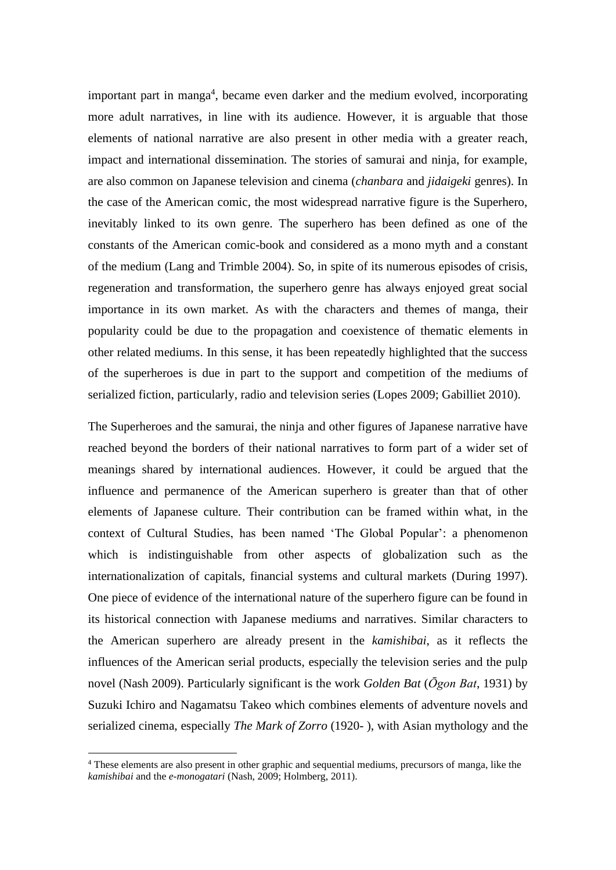important part in manga<sup>4</sup>, became even darker and the medium evolved, incorporating more adult narratives, in line with its audience. However, it is arguable that those elements of national narrative are also present in other media with a greater reach, impact and international dissemination. The stories of samurai and ninja, for example, are also common on Japanese television and cinema (*chanbara* and *jidaigeki* genres). In the case of the American comic, the most widespread narrative figure is the Superhero, inevitably linked to its own genre. The superhero has been defined as one of the constants of the American comic-book and considered as a mono myth and a constant of the medium [\(Lang and Trimble 2004\)](#page-20-10). So, in spite of its numerous episodes of crisis, regeneration and transformation, the superhero genre has always enjoyed great social importance in its own market. As with the characters and themes of manga, their popularity could be due to the propagation and coexistence of thematic elements in other related mediums. In this sense, it has been repeatedly highlighted that the success of the superheroes is due in part to the support and competition of the mediums of serialized fiction, particularly, radio and television series [\(Lopes 2009;](#page-20-3) [Gabilliet 2010\)](#page-20-11).

The Superheroes and the samurai, the ninja and other figures of Japanese narrative have reached beyond the borders of their national narratives to form part of a wider set of meanings shared by international audiences. However, it could be argued that the influence and permanence of the American superhero is greater than that of other elements of Japanese culture. Their contribution can be framed within what, in the context of Cultural Studies, has been named 'The Global Popular': a phenomenon which is indistinguishable from other aspects of globalization such as the internationalization of capitals, financial systems and cultural markets [\(During 1997\)](#page-20-12). One piece of evidence of the international nature of the superhero figure can be found in its historical connection with Japanese mediums and narratives. Similar characters to the American superhero are already present in the *kamishibai*, as it reflects the influences of the American serial products, especially the television series and the pulp novel [\(Nash 2009\)](#page-21-5). Particularly significant is the work *Golden Bat* (*Ōgon Bat*, 1931) by Suzuki Ichiro and Nagamatsu Takeo which combines elements of adventure novels and serialized cinema, especially *The Mark of Zorro* (1920- ), with Asian mythology and the

<sup>4</sup> These elements are also present in other graphic and sequential mediums, precursors of manga, like the *kamishibai* and the *e-monogatari* (Nash, 2009; Holmberg, 2011).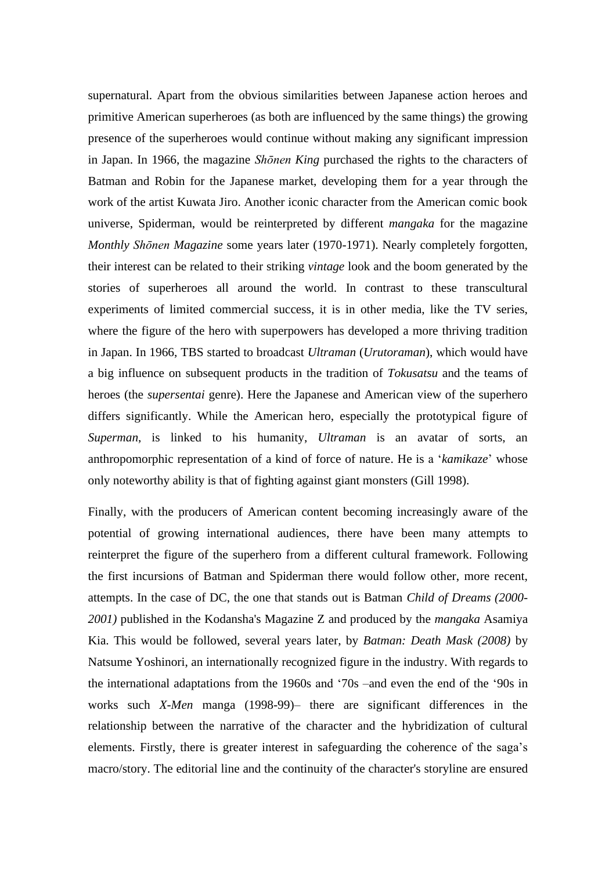supernatural. Apart from the obvious similarities between Japanese action heroes and primitive American superheroes (as both are influenced by the same things) the growing presence of the superheroes would continue without making any significant impression in Japan. In 1966, the magazine *Shōnen King* purchased the rights to the characters of Batman and Robin for the Japanese market, developing them for a year through the work of the artist Kuwata Jiro. Another iconic character from the American comic book universe, Spiderman, would be reinterpreted by different *mangaka* for the magazine *Monthly Shōnen Magazine* some years later (1970-1971). Nearly completely forgotten, their interest can be related to their striking *vintage* look and the boom generated by the stories of superheroes all around the world. In contrast to these transcultural experiments of limited commercial success, it is in other media, like the TV series, where the figure of the hero with superpowers has developed a more thriving tradition in Japan. In 1966, TBS started to broadcast *Ultraman* (*Urutoraman*), which would have a big influence on subsequent products in the tradition of *Tokusatsu* and the teams of heroes (the *supersentai* genre). Here the Japanese and American view of the superhero differs significantly. While the American hero, especially the prototypical figure of *Superman*, is linked to his humanity, *Ultraman* is an avatar of sorts, an anthropomorphic representation of a kind of force of nature. He is a '*kamikaze*' whose only noteworthy ability is that of fighting against giant monsters [\(Gill 1998\)](#page-20-13).

Finally, with the producers of American content becoming increasingly aware of the potential of growing international audiences, there have been many attempts to reinterpret the figure of the superhero from a different cultural framework. Following the first incursions of Batman and Spiderman there would follow other, more recent, attempts. In the case of DC, the one that stands out is Batman *Child of Dreams (2000- 2001)* published in the Kodansha's Magazine Z and produced by the *mangaka* Asamiya Kia. This would be followed, several years later, by *Batman: Death Mask (2008)* by Natsume Yoshinori, an internationally recognized figure in the industry. With regards to the international adaptations from the 1960s and '70s –and even the end of the '90s in works such *X-Men* manga (1998-99)– there are significant differences in the relationship between the narrative of the character and the hybridization of cultural elements. Firstly, there is greater interest in safeguarding the coherence of the saga's macro/story. The editorial line and the continuity of the character's storyline are ensured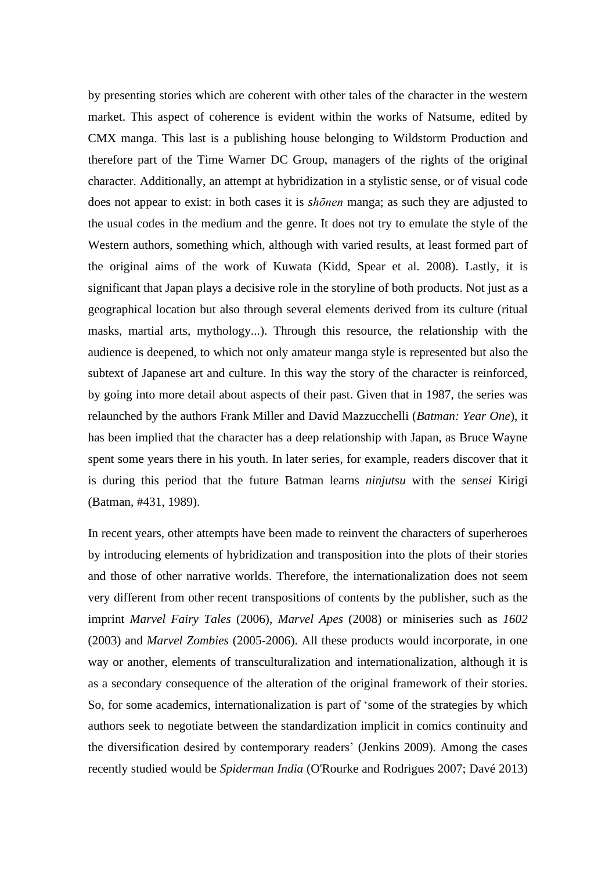by presenting stories which are coherent with other tales of the character in the western market. This aspect of coherence is evident within the works of Natsume, edited by CMX manga. This last is a publishing house belonging to Wildstorm Production and therefore part of the Time Warner DC Group, managers of the rights of the original character. Additionally, an attempt at hybridization in a stylistic sense, or of visual code does not appear to exist: in both cases it is *shōnen* manga; as such they are adjusted to the usual codes in the medium and the genre. It does not try to emulate the style of the Western authors, something which, although with varied results, at least formed part of the original aims of the work of Kuwata [\(Kidd, Spear et al. 2008\)](#page-20-14). Lastly, it is significant that Japan plays a decisive role in the storyline of both products. Not just as a geographical location but also through several elements derived from its culture (ritual masks, martial arts, mythology...). Through this resource, the relationship with the audience is deepened, to which not only amateur manga style is represented but also the subtext of Japanese art and culture. In this way the story of the character is reinforced, by going into more detail about aspects of their past. Given that in 1987, the series was relaunched by the authors Frank Miller and David Mazzucchelli (*Batman: Year One*), it has been implied that the character has a deep relationship with Japan, as Bruce Wayne spent some years there in his youth. In later series, for example, readers discover that it is during this period that the future Batman learns *ninjutsu* with the *sensei* Kirigi (Batman, #431, 1989).

In recent years, other attempts have been made to reinvent the characters of superheroes by introducing elements of hybridization and transposition into the plots of their stories and those of other narrative worlds. Therefore, the internationalization does not seem very different from other recent transpositions of contents by the publisher, such as the imprint *Marvel Fairy Tales* (2006), *Marvel Apes* (2008) or miniseries such as *1602* (2003) and *Marvel Zombies* (2005-2006). All these products would incorporate, in one way or another, elements of transculturalization and internationalization, although it is as a secondary consequence of the alteration of the original framework of their stories. So, for some academics, internationalization is part of 'some of the strategies by which authors seek to negotiate between the standardization implicit in comics continuity and the diversification desired by contemporary readers' [\(Jenkins 2009\)](#page-20-15). Among the cases recently studied would be *Spiderman India* [\(O'Rourke and Rodrigues 2007;](#page-21-6) [Davé 2013\)](#page-20-16)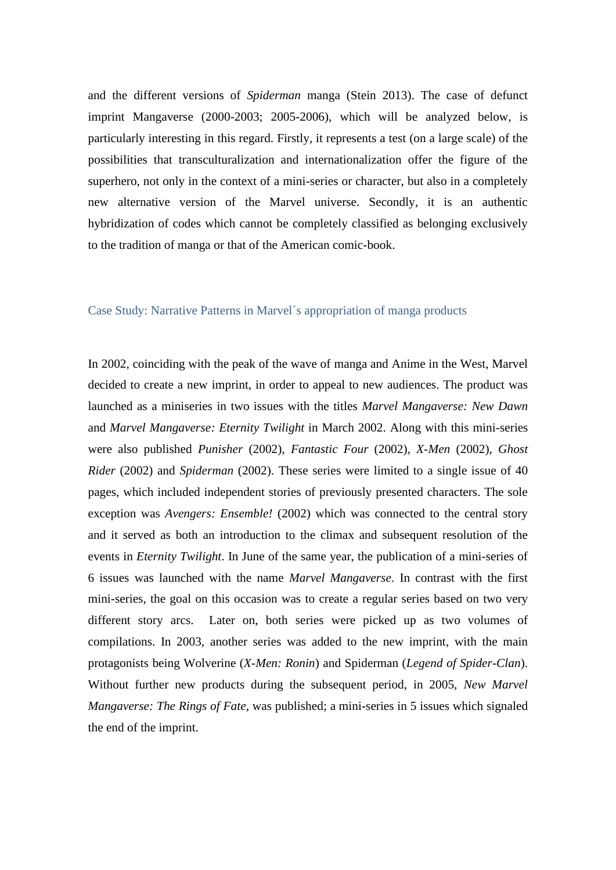and the different versions of *Spiderman* manga [\(Stein 2013\)](#page-21-3). The case of defunct imprint Mangaverse (2000-2003; 2005-2006), which will be analyzed below, is particularly interesting in this regard. Firstly, it represents a test (on a large scale) of the possibilities that transculturalization and internationalization offer the figure of the superhero, not only in the context of a mini-series or character, but also in a completely new alternative version of the Marvel universe. Secondly, it is an authentic hybridization of codes which cannot be completely classified as belonging exclusively to the tradition of manga or that of the American comic-book.

# Case Study: Narrative Patterns in Marvel´s appropriation of manga products

In 2002, coinciding with the peak of the wave of manga and Anime in the West, Marvel decided to create a new imprint, in order to appeal to new audiences. The product was launched as a miniseries in two issues with the titles *Marvel Mangaverse: New Dawn* and *Marvel Mangaverse: Eternity Twilight* in March 2002. Along with this mini-series were also published *Punisher* (2002), *Fantastic Four* (2002), *X-Men* (2002), *Ghost Rider* (2002) and *Spiderman* (2002). These series were limited to a single issue of 40 pages, which included independent stories of previously presented characters. The sole exception was *Avengers: Ensemble!* (2002) which was connected to the central story and it served as both an introduction to the climax and subsequent resolution of the events in *Eternity Twilight*. In June of the same year, the publication of a mini-series of 6 issues was launched with the name *Marvel Mangaverse*. In contrast with the first mini-series, the goal on this occasion was to create a regular series based on two very different story arcs. Later on, both series were picked up as two volumes of compilations. In 2003, another series was added to the new imprint, with the main protagonists being Wolverine (*X-Men: Ronin*) and Spiderman (*Legend of Spider-Clan*). Without further new products during the subsequent period, in 2005, *New Marvel Mangaverse: The Rings of Fate*, was published; a mini-series in 5 issues which signaled the end of the imprint.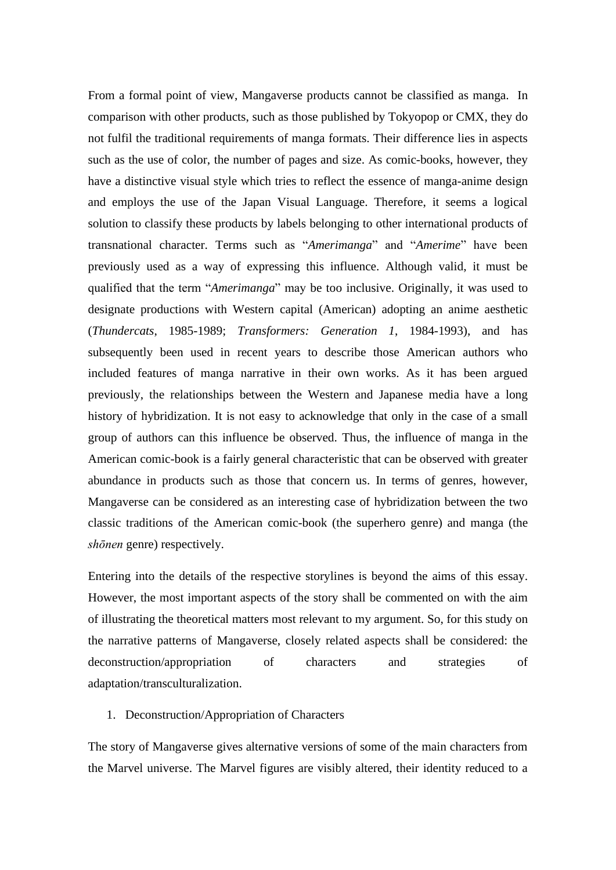From a formal point of view, Mangaverse products cannot be classified as manga. In comparison with other products, such as those published by Tokyopop or CMX, they do not fulfil the traditional requirements of manga formats. Their difference lies in aspects such as the use of color, the number of pages and size. As comic-books, however, they have a distinctive visual style which tries to reflect the essence of manga-anime design and employs the use of the Japan Visual Language. Therefore, it seems a logical solution to classify these products by labels belonging to other international products of transnational character. Terms such as "*Amerimanga*" and "*Amerime*" have been previously used as a way of expressing this influence. Although valid, it must be qualified that the term "*Amerimanga*" may be too inclusive. Originally, it was used to designate productions with Western capital (American) adopting an anime aesthetic (*Thundercats*, 1985-1989; *Transformers: Generation 1*, 1984-1993), and has subsequently been used in recent years to describe those American authors who included features of manga narrative in their own works. As it has been argued previously, the relationships between the Western and Japanese media have a long history of hybridization. It is not easy to acknowledge that only in the case of a small group of authors can this influence be observed. Thus, the influence of manga in the American comic-book is a fairly general characteristic that can be observed with greater abundance in products such as those that concern us. In terms of genres, however, Mangaverse can be considered as an interesting case of hybridization between the two classic traditions of the American comic-book (the superhero genre) and manga (the *shōnen* genre) respectively.

Entering into the details of the respective storylines is beyond the aims of this essay. However, the most important aspects of the story shall be commented on with the aim of illustrating the theoretical matters most relevant to my argument. So, for this study on the narrative patterns of Mangaverse, closely related aspects shall be considered: the deconstruction/appropriation of characters and strategies of adaptation/transculturalization.

## 1. Deconstruction/Appropriation of Characters

The story of Mangaverse gives alternative versions of some of the main characters from the Marvel universe. The Marvel figures are visibly altered, their identity reduced to a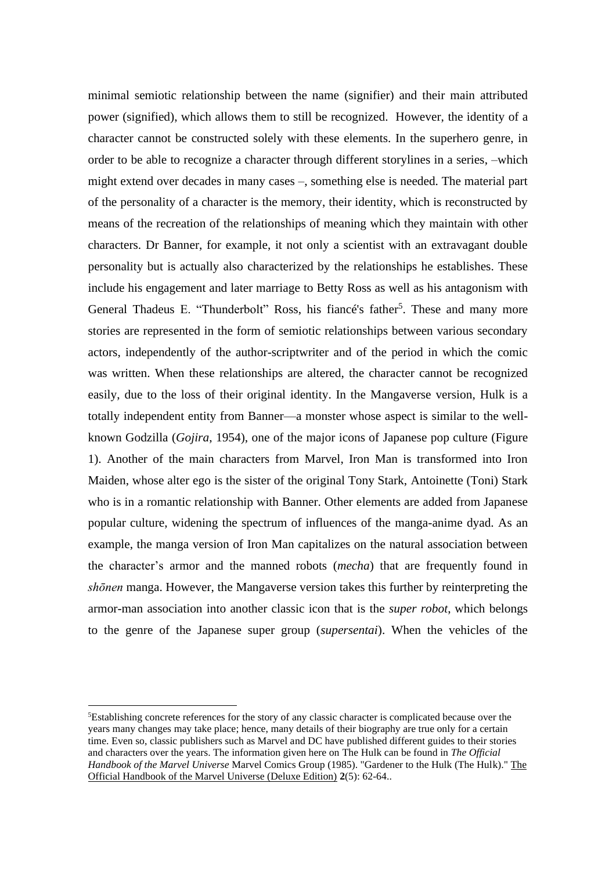minimal semiotic relationship between the name (signifier) and their main attributed power (signified), which allows them to still be recognized. However, the identity of a character cannot be constructed solely with these elements. In the superhero genre, in order to be able to recognize a character through different storylines in a series, –which might extend over decades in many cases –, something else is needed. The material part of the personality of a character is the memory, their identity, which is reconstructed by means of the recreation of the relationships of meaning which they maintain with other characters. Dr Banner, for example, it not only a scientist with an extravagant double personality but is actually also characterized by the relationships he establishes. These include his engagement and later marriage to Betty Ross as well as his antagonism with General Thadeus E. "Thunderbolt" Ross, his fiancé's father<sup>5</sup>. These and many more stories are represented in the form of semiotic relationships between various secondary actors, independently of the author-scriptwriter and of the period in which the comic was written. When these relationships are altered, the character cannot be recognized easily, due to the loss of their original identity. In the Mangaverse version, Hulk is a totally independent entity from Banner—a monster whose aspect is similar to the wellknown Godzilla (*Gojira*, 1954), one of the major icons of Japanese pop culture (Figure 1). Another of the main characters from Marvel, Iron Man is transformed into Iron Maiden, whose alter ego is the sister of the original Tony Stark, Antoinette (Toni) Stark who is in a romantic relationship with Banner. Other elements are added from Japanese popular culture, widening the spectrum of influences of the manga-anime dyad. As an example, the manga version of Iron Man capitalizes on the natural association between the character's armor and the manned robots (*mecha*) that are frequently found in *shōnen* manga. However, the Mangaverse version takes this further by reinterpreting the armor-man association into another classic icon that is the *super robot*, which belongs to the genre of the Japanese super group (*supersentai*). When the vehicles of the

<sup>5</sup>Establishing concrete references for the story of any classic character is complicated because over the years many changes may take place; hence, many details of their biography are true only for a certain time. Even so, classic publishers such as Marvel and DC have published different guides to their stories and characters over the years. The information given here on The Hulk can be found in *The Official Handbook of the Marvel Universe* Marvel Comics Group (1985). "Gardener to the Hulk (The Hulk)." The Official Handbook of the Marvel Universe (Deluxe Edition) **2**(5): 62-64..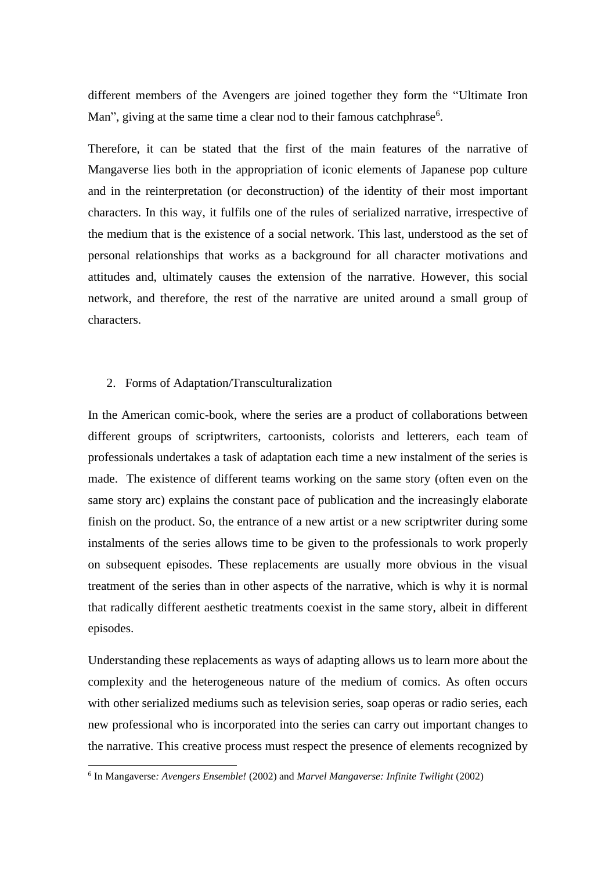different members of the Avengers are joined together they form the "Ultimate Iron Man", giving at the same time a clear nod to their famous catchphrase<sup>6</sup>.

Therefore, it can be stated that the first of the main features of the narrative of Mangaverse lies both in the appropriation of iconic elements of Japanese pop culture and in the reinterpretation (or deconstruction) of the identity of their most important characters. In this way, it fulfils one of the rules of serialized narrative, irrespective of the medium that is the existence of a social network. This last, understood as the set of personal relationships that works as a background for all character motivations and attitudes and, ultimately causes the extension of the narrative. However, this social network, and therefore, the rest of the narrative are united around a small group of characters.

## 2. Forms of Adaptation/Transculturalization

In the American comic-book, where the series are a product of collaborations between different groups of scriptwriters, cartoonists, colorists and letterers, each team of professionals undertakes a task of adaptation each time a new instalment of the series is made. The existence of different teams working on the same story (often even on the same story arc) explains the constant pace of publication and the increasingly elaborate finish on the product. So, the entrance of a new artist or a new scriptwriter during some instalments of the series allows time to be given to the professionals to work properly on subsequent episodes. These replacements are usually more obvious in the visual treatment of the series than in other aspects of the narrative, which is why it is normal that radically different aesthetic treatments coexist in the same story, albeit in different episodes.

Understanding these replacements as ways of adapting allows us to learn more about the complexity and the heterogeneous nature of the medium of comics. As often occurs with other serialized mediums such as television series, soap operas or radio series, each new professional who is incorporated into the series can carry out important changes to the narrative. This creative process must respect the presence of elements recognized by

<sup>6</sup> In Mangaverse*: Avengers Ensemble!* (2002) and *Marvel Mangaverse: Infinite Twilight* (2002)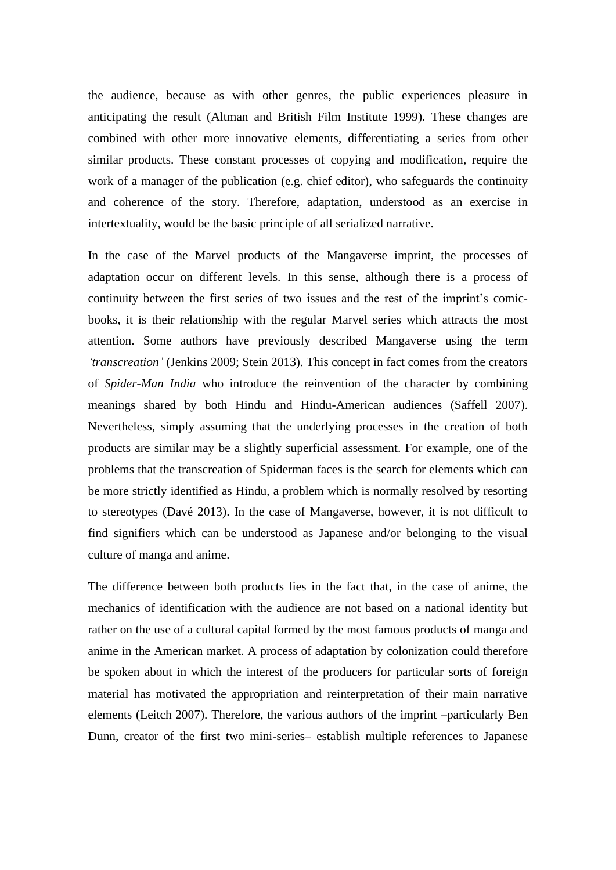the audience, because as with other genres, the public experiences pleasure in anticipating the result [\(Altman and British Film Institute 1999\)](#page-20-17). These changes are combined with other more innovative elements, differentiating a series from other similar products. These constant processes of copying and modification, require the work of a manager of the publication (e.g. chief editor), who safeguards the continuity and coherence of the story. Therefore, adaptation, understood as an exercise in intertextuality, would be the basic principle of all serialized narrative.

In the case of the Marvel products of the Mangaverse imprint, the processes of adaptation occur on different levels. In this sense, although there is a process of continuity between the first series of two issues and the rest of the imprint's comicbooks, it is their relationship with the regular Marvel series which attracts the most attention. Some authors have previously described Mangaverse using the term *'transcreation'* [\(Jenkins 2009;](#page-20-15) [Stein 2013\)](#page-21-3). This concept in fact comes from the creators of *Spider-Man India* who introduce the reinvention of the character by combining meanings shared by both Hindu and Hindu-American audiences [\(Saffell 2007\)](#page-21-7). Nevertheless, simply assuming that the underlying processes in the creation of both products are similar may be a slightly superficial assessment. For example, one of the problems that the transcreation of Spiderman faces is the search for elements which can be more strictly identified as Hindu, a problem which is normally resolved by resorting to stereotypes [\(Davé 2013\)](#page-20-16). In the case of Mangaverse, however, it is not difficult to find signifiers which can be understood as Japanese and/or belonging to the visual culture of manga and anime.

The difference between both products lies in the fact that, in the case of anime, the mechanics of identification with the audience are not based on a national identity but rather on the use of a cultural capital formed by the most famous products of manga and anime in the American market. A process of adaptation by colonization could therefore be spoken about in which the interest of the producers for particular sorts of foreign material has motivated the appropriation and reinterpretation of their main narrative elements [\(Leitch 2007\)](#page-20-18). Therefore, the various authors of the imprint –particularly Ben Dunn, creator of the first two mini-series– establish multiple references to Japanese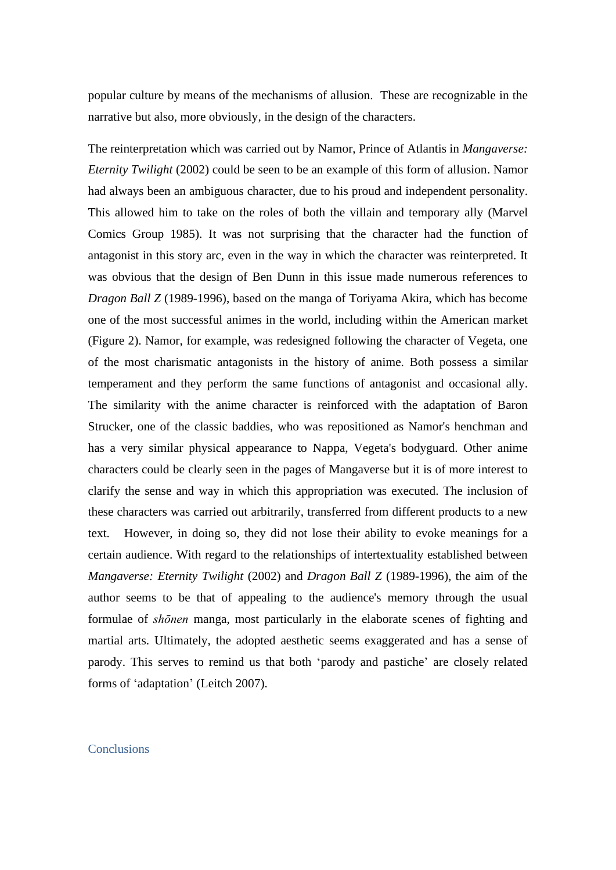popular culture by means of the mechanisms of allusion. These are recognizable in the narrative but also, more obviously, in the design of the characters.

The reinterpretation which was carried out by Namor, Prince of Atlantis in *Mangaverse: Eternity Twilight* (2002) could be seen to be an example of this form of allusion. Namor had always been an ambiguous character, due to his proud and independent personality. This allowed him to take on the roles of both the villain and temporary ally [\(Marvel](#page-20-19)  [Comics Group 1985\)](#page-20-19). It was not surprising that the character had the function of antagonist in this story arc, even in the way in which the character was reinterpreted. It was obvious that the design of Ben Dunn in this issue made numerous references to *Dragon Ball Z* (1989-1996), based on the manga of Toriyama Akira, which has become one of the most successful animes in the world, including within the American market (Figure 2). Namor, for example, was redesigned following the character of Vegeta, one of the most charismatic antagonists in the history of anime. Both possess a similar temperament and they perform the same functions of antagonist and occasional ally. The similarity with the anime character is reinforced with the adaptation of Baron Strucker, one of the classic baddies, who was repositioned as Namor's henchman and has a very similar physical appearance to Nappa, Vegeta's bodyguard. Other anime characters could be clearly seen in the pages of Mangaverse but it is of more interest to clarify the sense and way in which this appropriation was executed. The inclusion of these characters was carried out arbitrarily, transferred from different products to a new text. However, in doing so, they did not lose their ability to evoke meanings for a certain audience. With regard to the relationships of intertextuality established between *Mangaverse: Eternity Twilight* (2002) and *Dragon Ball Z* (1989-1996), the aim of the author seems to be that of appealing to the audience's memory through the usual formulae of *shōnen* manga, most particularly in the elaborate scenes of fighting and martial arts. Ultimately, the adopted aesthetic seems exaggerated and has a sense of parody. This serves to remind us that both 'parody and pastiche' are closely related forms of 'adaptation' [\(Leitch 2007\)](#page-20-18).

# **Conclusions**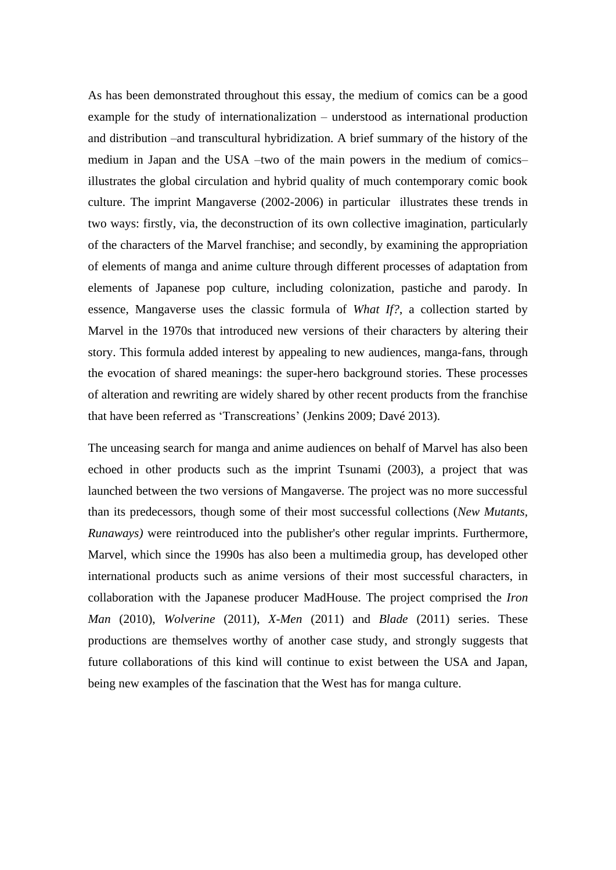As has been demonstrated throughout this essay, the medium of comics can be a good example for the study of internationalization – understood as international production and distribution –and transcultural hybridization. A brief summary of the history of the medium in Japan and the USA –two of the main powers in the medium of comics– illustrates the global circulation and hybrid quality of much contemporary comic book culture. The imprint Mangaverse (2002-2006) in particular illustrates these trends in two ways: firstly, via, the deconstruction of its own collective imagination, particularly of the characters of the Marvel franchise; and secondly, by examining the appropriation of elements of manga and anime culture through different processes of adaptation from elements of Japanese pop culture, including colonization, pastiche and parody. In essence, Mangaverse uses the classic formula of *What If?*, a collection started by Marvel in the 1970s that introduced new versions of their characters by altering their story. This formula added interest by appealing to new audiences, manga-fans, through the evocation of shared meanings: the super-hero background stories. These processes of alteration and rewriting are widely shared by other recent products from the franchise that have been referred as 'Transcreations' [\(Jenkins 2009;](#page-20-15) [Davé 2013\)](#page-20-16).

The unceasing search for manga and anime audiences on behalf of Marvel has also been echoed in other products such as the imprint Tsunami (2003), a project that was launched between the two versions of Mangaverse. The project was no more successful than its predecessors, though some of their most successful collections (*New Mutants, Runaways)* were reintroduced into the publisher's other regular imprints. Furthermore, Marvel, which since the 1990s has also been a multimedia group, has developed other international products such as anime versions of their most successful characters, in collaboration with the Japanese producer MadHouse. The project comprised the *Iron Man* (2010), *Wolverine* (2011), *X-Men* (2011) and *Blade* (2011) series. These productions are themselves worthy of another case study, and strongly suggests that future collaborations of this kind will continue to exist between the USA and Japan, being new examples of the fascination that the West has for manga culture.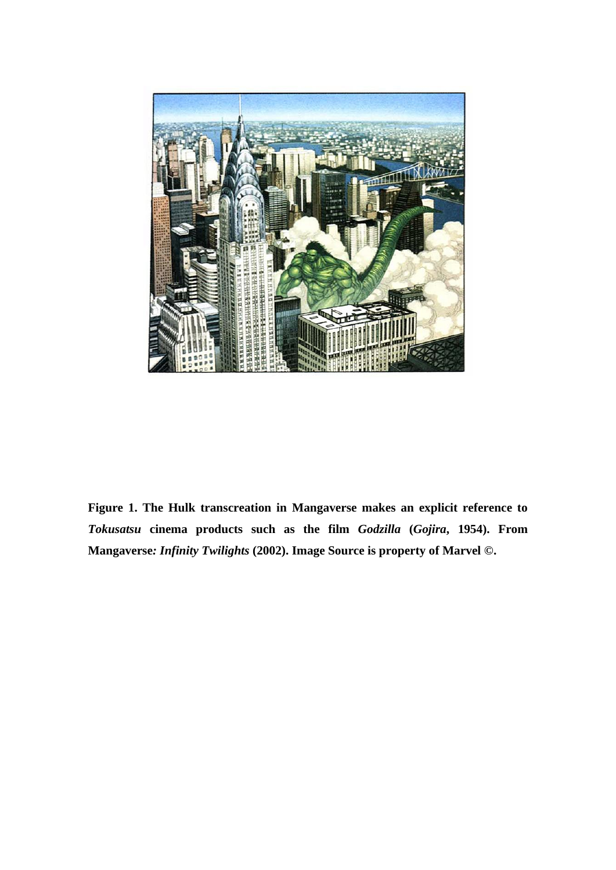

**Figure 1. The Hulk transcreation in Mangaverse makes an explicit reference to**  *Tokusatsu* **cinema products such as the film** *Godzilla* **(***Gojira***, 1954). From Mangaverse***: Infinity Twilights* **(2002). Image Source is property of Marvel ©.**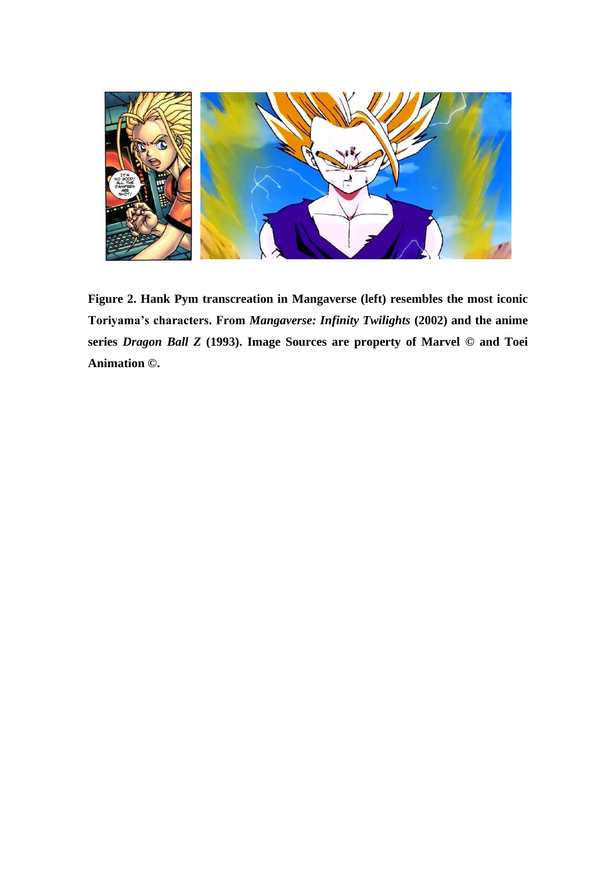

**Figure 2. Hank Pym transcreation in Mangaverse (left) resembles the most iconic Toriyama's characters. From** *Mangaverse: Infinity Twilights* **(2002) and the anime series** *Dragon Ball Z* **(1993). Image Sources are property of Marvel © and Toei Animation ©.**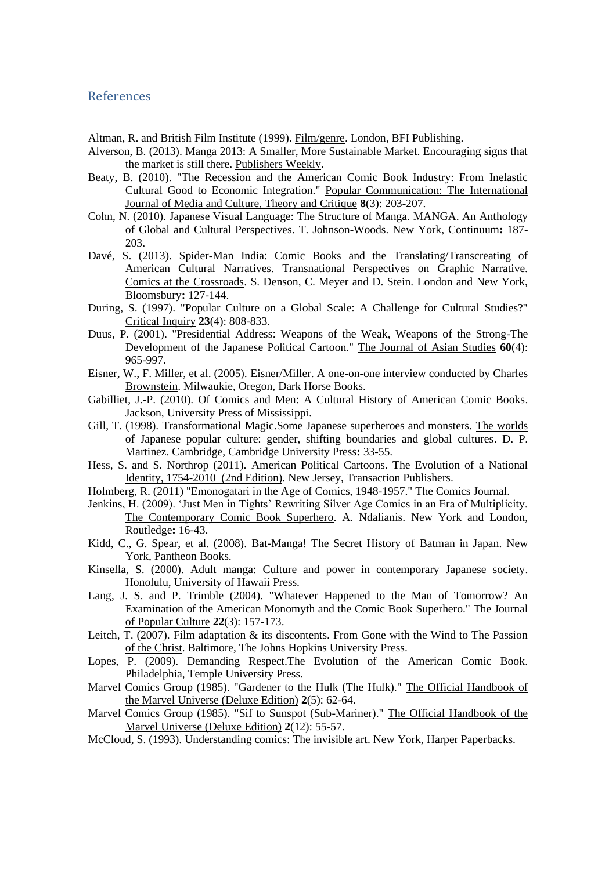## References

<span id="page-20-17"></span>Altman, R. and British Film Institute (1999). Film/genre. London, BFI Publishing.

- <span id="page-20-8"></span>Alverson, B. (2013). Manga 2013: A Smaller, More Sustainable Market. Encouraging signs that the market is still there. Publishers Weekly.
- <span id="page-20-7"></span>Beaty, B. (2010). "The Recession and the American Comic Book Industry: From Inelastic Cultural Good to Economic Integration." Popular Communication: The International Journal of Media and Culture, Theory and Critique **8**(3): 203-207.
- <span id="page-20-0"></span>Cohn, N. (2010). Japanese Visual Language: The Structure of Manga. MANGA. An Anthology of Global and Cultural Perspectives. T. Johnson-Woods. New York, Continuum**:** 187- 203.
- <span id="page-20-16"></span>Davé, S. (2013). Spider-Man India: Comic Books and the Translating/Transcreating of American Cultural Narratives. Transnational Perspectives on Graphic Narrative. Comics at the Crossroads. S. Denson, C. Meyer and D. Stein. London and New York, Bloomsbury**:** 127-144.
- <span id="page-20-12"></span>During, S. (1997). "Popular Culture on a Global Scale: A Challenge for Cultural Studies?" Critical Inquiry **23**(4): 808-833.
- <span id="page-20-1"></span>Duus, P. (2001). "Presidential Address: Weapons of the Weak, Weapons of the Strong-The Development of the Japanese Political Cartoon." The Journal of Asian Studies **60**(4): 965-997.
- <span id="page-20-6"></span>Eisner, W., F. Miller, et al. (2005). Eisner/Miller. A one-on-one interview conducted by Charles Brownstein. Milwaukie, Oregon, Dark Horse Books.
- <span id="page-20-11"></span>Gabilliet, J.-P. (2010). Of Comics and Men: A Cultural History of American Comic Books. Jackson, University Press of Mississippi.
- <span id="page-20-13"></span>Gill, T. (1998). Transformational Magic.Some Japanese superheroes and monsters. The worlds of Japanese popular culture: gender, shifting boundaries and global cultures. D. P. Martinez. Cambridge, Cambridge University Press**:** 33-55.
- <span id="page-20-2"></span>Hess, S. and S. Northrop (2011). American Political Cartoons. The Evolution of a National Identity, 1754-2010 (2nd Edition). New Jersey, Transaction Publishers.
- <span id="page-20-5"></span>Holmberg, R. (2011) "Emonogatari in the Age of Comics, 1948-1957." The Comics Journal.
- <span id="page-20-15"></span>Jenkins, H. (2009). 'Just Men in Tights' Rewriting Silver Age Comics in an Era of Multiplicity. The Contemporary Comic Book Superhero. A. Ndalianis. New York and London, Routledge**:** 16-43.
- <span id="page-20-14"></span>Kidd, C., G. Spear, et al. (2008). Bat-Manga! The Secret History of Batman in Japan. New York, Pantheon Books.
- <span id="page-20-4"></span>Kinsella, S. (2000). Adult manga: Culture and power in contemporary Japanese society. Honolulu, University of Hawaii Press.
- <span id="page-20-10"></span>Lang, J. S. and P. Trimble (2004). "Whatever Happened to the Man of Tomorrow? An Examination of the American Monomyth and the Comic Book Superhero." The Journal of Popular Culture **22**(3): 157-173.
- <span id="page-20-18"></span>Leitch, T. (2007). Film adaptation & its discontents. From Gone with the Wind to The Passion of the Christ. Baltimore, The Johns Hopkins University Press.
- <span id="page-20-3"></span>Lopes, P. (2009). Demanding Respect.The Evolution of the American Comic Book. Philadelphia, Temple University Press.
- Marvel Comics Group (1985). "Gardener to the Hulk (The Hulk)." The Official Handbook of the Marvel Universe (Deluxe Edition) **2**(5): 62-64.
- <span id="page-20-19"></span>Marvel Comics Group (1985). "Sif to Sunspot (Sub-Mariner)." The Official Handbook of the Marvel Universe (Deluxe Edition) **2**(12): 55-57.
- <span id="page-20-9"></span>McCloud, S. (1993). Understanding comics: The invisible art. New York, Harper Paperbacks.